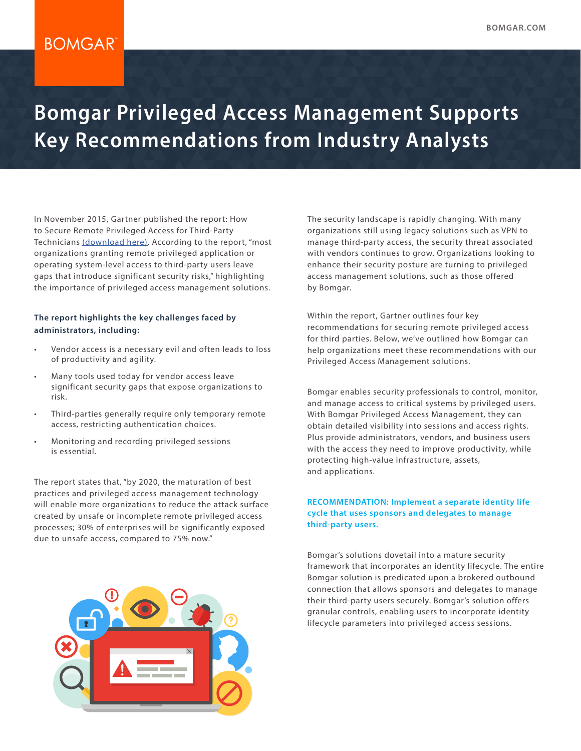## **BOMGAR**

# **Bomgar Privileged Access Management Supports Key Recommendations from Industry Analysts**

In November 2015, Gartner published the report: How to Secure Remote Privileged Access for Third-Party Technicians [\(download here\).](http://www.bomgar.com/gartner-third-party-access-report) According to the report, "most organizations granting remote privileged application or operating system-level access to third-party users leave gaps that introduce significant security risks," highlighting the importance of privileged access management solutions.

#### **The report highlights the key challenges faced by administrators, including:**

- Vendor access is a necessary evil and often leads to loss of productivity and agility.
- Many tools used today for vendor access leave significant security gaps that expose organizations to risk.
- Third-parties generally require only temporary remote access, restricting authentication choices.
- Monitoring and recording privileged sessions is essential.

The report states that, "by 2020, the maturation of best practices and privileged access management technology will enable more organizations to reduce the attack surface created by unsafe or incomplete remote privileged access processes; 30% of enterprises will be significantly exposed due to unsafe access, compared to 75% now."

The security landscape is rapidly changing. With many organizations still using legacy solutions such as VPN to manage third-party access, the security threat associated with vendors continues to grow. Organizations looking to enhance their security posture are turning to privileged access management solutions, such as those offered by Bomgar.

Within the report, Gartner outlines four key recommendations for securing remote privileged access for third parties. Below, we've outlined how Bomgar can help organizations meet these recommendations with our Privileged Access Management solutions.

Bomgar enables security professionals to control, monitor, and manage access to critical systems by privileged users. With Bomgar Privileged Access Management, they can obtain detailed visibility into sessions and access rights. Plus provide administrators, vendors, and business users with the access they need to improve productivity, while protecting high-value infrastructure, assets, and applications.

#### **RECOMMENDATION: Implement a separate identity life cycle that uses sponsors and delegates to manage third-party users.**

Bomgar's solutions dovetail into a mature security framework that incorporates an identity lifecycle. The entire Bomgar solution is predicated upon a brokered outbound connection that allows sponsors and delegates to manage their third-party users securely. Bomgar's solution offers granular controls, enabling users to incorporate identity lifecycle parameters into privileged access sessions.